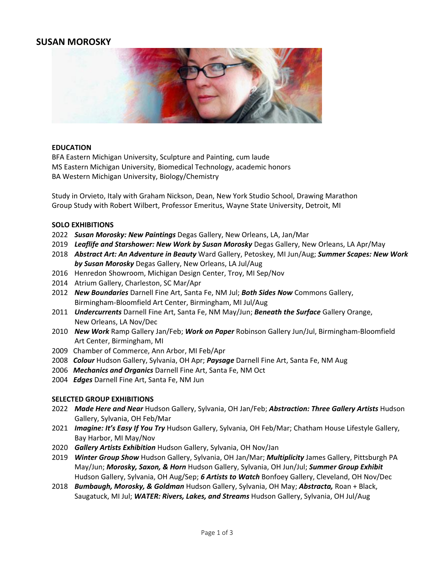# **SUSAN MOROSKY**



### **EDUCATION**

BFA Eastern Michigan University, Sculpture and Painting, cum laude MS Eastern Michigan University, Biomedical Technology, academic honors BA Western Michigan University, Biology/Chemistry

Study in Orvieto, Italy with Graham Nickson, Dean, New York Studio School, Drawing Marathon Group Study with Robert Wilbert, Professor Emeritus, Wayne State University, Detroit, MI

### **SOLO EXHIBITIONS**

- 2022 *Susan Morosky: New Paintings* Degas Gallery, New Orleans, LA, Jan/Mar
- 2019 *Leaflife and Starshower: New Work by Susan Morosky* Degas Gallery, New Orleans, LA Apr/May
- 2018 *Abstract Art: An Adventure in Beauty* Ward Gallery, Petoskey, MI Jun/Aug; *Summer Scapes: New Work by Susan Morosky* Degas Gallery, New Orleans, LA Jul/Aug
- 2016 Henredon Showroom, Michigan Design Center, Troy, MI Sep/Nov
- 2014 Atrium Gallery, Charleston, SC Mar/Apr
- 2012 *New Boundaries* Darnell Fine Art, Santa Fe, NM Jul; *Both Sides Now* Commons Gallery, Birmingham-Bloomfield Art Center, Birmingham, MI Jul/Aug
- 2011 *Undercurrents* Darnell Fine Art, Santa Fe, NM May/Jun; *Beneath the Surface* Gallery Orange, New Orleans, LA Nov/Dec
- 2010 *New Work* Ramp Gallery Jan/Feb; *Work on Paper* Robinson Gallery Jun/Jul, Birmingham-Bloomfield Art Center, Birmingham, MI
- 2009 Chamber of Commerce, Ann Arbor, MI Feb/Apr
- 2008 *Colour* Hudson Gallery, Sylvania, OH Apr; *Paysage* Darnell Fine Art, Santa Fe, NM Aug
- 2006 *Mechanics and Organics* Darnell Fine Art, Santa Fe, NM Oct
- 2004 *Edges* Darnell Fine Art, Santa Fe, NM Jun

#### **SELECTED GROUP EXHIBITIONS**

- 2022 *Made Here and Near* Hudson Gallery, Sylvania, OH Jan/Feb; *Abstraction: Three Gallery Artists* Hudson Gallery, Sylvania, OH Feb/Mar
- 2021 *Imagine: It's Easy If You Try* Hudson Gallery, Sylvania, OH Feb/Mar; Chatham House Lifestyle Gallery, Bay Harbor, MI May/Nov
- 2020 *Gallery Artists Exhibition* Hudson Gallery, Sylvania, OH Nov/Jan
- 2019 *Winter Group Show* Hudson Gallery, Sylvania, OH Jan/Mar; *Multiplicity* James Gallery, Pittsburgh PA May/Jun; *Morosky, Saxon, & Horn* Hudson Gallery, Sylvania, OH Jun/Jul; *Summer Group Exhibit* Hudson Gallery, Sylvania, OH Aug/Sep; *6 Artists to Watch* Bonfoey Gallery, Cleveland, OH Nov/Dec
- 2018 *Bumbaugh, Morosky, & Goldman* Hudson Gallery, Sylvania, OH May; *Abstracta,* Roan + Black, Saugatuck, MI Jul; *WATER: Rivers, Lakes, and Streams* Hudson Gallery, Sylvania, OH Jul/Aug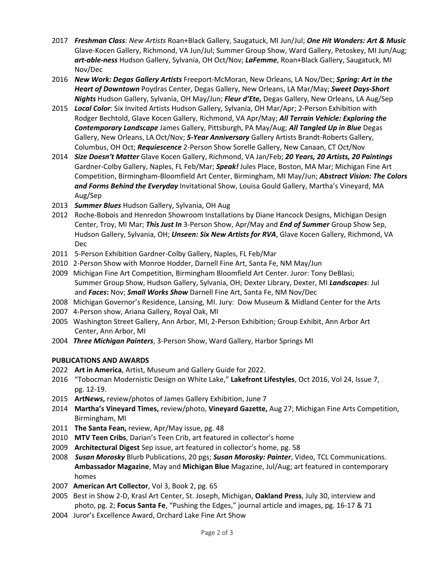- 2017 *Freshman Class*: *New Artists* Roan+Black Gallery, Saugatuck, MI Jun/Jul; *One Hit Wonders: Art & Music* Glave-Kocen Gallery, Richmond, VA Jun/Jul; Summer Group Show, Ward Gallery, Petoskey, MI Jun/Aug; *art-able-ness* Hudson Gallery, Sylvania, OH Oct/Nov; *LaFemme*, Roan+Black Gallery, Saugatuck, MI Nov/Dec
- 2016 *New Work: Degas Gallery Artists* Freeport-McMoran, New Orleans, LA Nov/Dec; *Spring: Art in the Heart of Downtown* Poydras Center, Degas Gallery, New Orleans, LA Mar/May; *Sweet Days-Short Nights* Hudson Gallery, Sylvania, OH May/Jun; *Fleur d'Ete,* Degas Gallery, New Orleans, LA Aug/Sep
- 2015 *Local Color*: Six Invited Artists Hudson Gallery, Sylvania, OH Mar/Apr; 2-Person Exhibition with Rodger Bechtold, Glave Kocen Gallery, Richmond, VA Apr/May; *All Terrain Vehicle: Exploring the Contemporary Landscape* James Gallery, Pittsburgh, PA May/Aug; *All Tangled Up in Blue* Degas Gallery, New Orleans, LA Oct/Nov; *5-Year Anniversary* Gallery Artists Brandt-Roberts Gallery, Columbus, OH Oct; *Requiescence* 2-Person Show Sorelle Gallery, New Canaan, CT Oct/Nov
- 2014 *Size Doesn't Matter* Glave Kocen Gallery, Richmond, VA Jan/Feb; *20 Years, 20 Artists, 20 Paintings* Gardner-Colby Gallery, Naples, FL Feb/Mar; *Speak!* Jules Place, Boston, MA Mar; Michigan Fine Art Competition, Birmingham-Bloomfield Art Center, Birmingham, MI May/Jun; *Abstract Vision: The Colors and Forms Behind the Everyday* Invitational Show, Louisa Gould Gallery, Martha's Vineyard, MA Aug/Sep
- 2013 *Summer Blues* Hudson Gallery, Sylvania, OH Aug
- 2012 Roche-Bobois and Henredon Showroom Installations by Diane Hancock Designs, Michigan Design Center, Troy, MI Mar; *This Just In* 3-Person Show, Apr/May and *End of Summer* Group Show Sep, Hudson Gallery, Sylvania, OH; *Unseen: Six New Artists for RVA*, Glave Kocen Gallery, Richmond, VA Dec
- 2011 5-Person Exhibition Gardner-Colby Gallery, Naples, FL Feb/Mar
- 2010 2-Person Show with Monroe Hodder, Darnell Fine Art, Santa Fe, NM May/Jun
- 2009 Michigan Fine Art Competition, Birmingham Bloomfield Art Center. Juror: Tony DeBlasi; Summer Group Show, Hudson Gallery, Sylvania, OH; Dexter Library, Dexter, MI *Landscapes*: Jul and *Faces***:** Nov; *Small Works Show* Darnell Fine Art, Santa Fe, NM Nov/Dec
- 2008 Michigan Governor's Residence, Lansing, MI. Jury: Dow Museum & Midland Center for the Arts
- 2007 4-Person show, Ariana Gallery, Royal Oak, MI
- 2005 Washington Street Gallery, Ann Arbor, MI, 2-Person Exhibition; Group Exhibit, Ann Arbor Art Center, Ann Arbor, MI
- 2004 *Three Michigan Painters*, 3-Person Show, Ward Gallery, Harbor Springs MI

# **PUBLICATIONS AND AWARDS**

- 2022 **Art in America**, Artist, Museum and Gallery Guide for 2022.
- 2016 "Tobocman Modernistic Design on White Lake," **Lakefront Lifestyles**, Oct 2016, Vol 24, Issue 7, pg. 12-19.
- 2015 **ArtN***ews***,** review/photos of James Gallery Exhibition, June 7
- 2014 **Martha's Vineyard Times,** review/photo, **Vineyard Gazette,** Aug 27; Michigan Fine Arts Competition, Birmingham, MI
- 2011 **The Santa Fean,** review, Apr/May issue, pg. 48
- 2010 **MTV Teen Cribs**, Darian's Teen Crib, art featured in collector's home
- 2009 **Architectural Digest** Sep issue, art featured in collector's home, pg. 58
- 2008 *Susan Morosky* Blurb Publications, 20 pgs; *Susan Morosky: Painter*, Video, TCL Communications. **Ambassador Magazine**, May and **Michigan Blue** Magazine, Jul/Aug; art featured in contemporary homes
- 2007 **American Art Collector**, Vol 3, Book 2, pg. 65
- 2005 Best in Show 2-D, Krasl Art Center, St. Joseph, Michigan, **Oakland Press**, July 30, interview and photo, pg. 2; **Focus Santa Fe**, "Pushing the Edges," journal article and images, pg. 16-17 & 71
- 2004 Juror's Excellence Award, Orchard Lake Fine Art Show